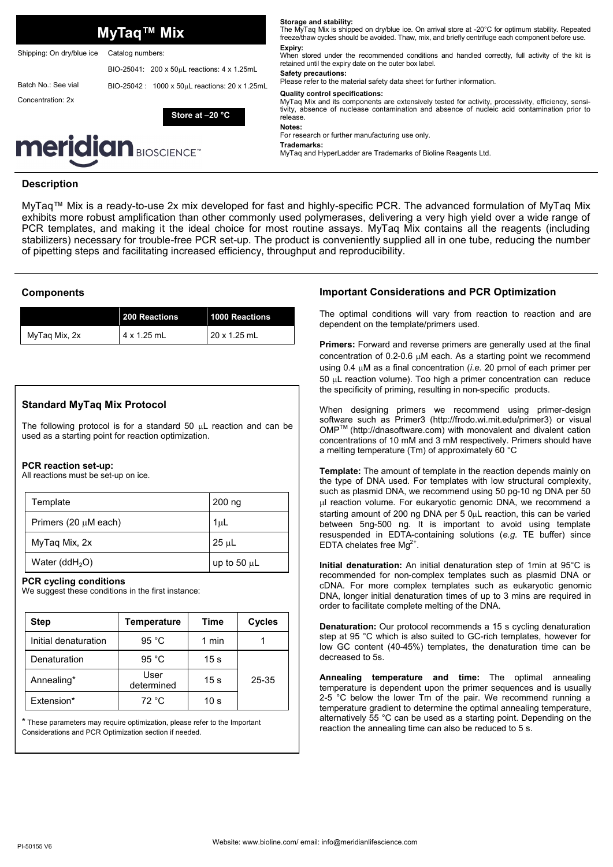|                                          | MyTaq™ Mix                                                       | Storage and stability:<br>The MyTag Mix is shipped on dry/blue ice. On arrival store at -20°C for optimum stability. Repeated<br>freeze/thaw cycles should be avoided. Thaw, mix, and briefly centrifuge each component before use.                      |
|------------------------------------------|------------------------------------------------------------------|----------------------------------------------------------------------------------------------------------------------------------------------------------------------------------------------------------------------------------------------------------|
| Shipping: On dry/blue ice                | Catalog numbers:                                                 | Expiry:<br>When stored under the recommended conditions and handled correctly, full activity of the kit is                                                                                                                                               |
|                                          | BIO-25041: 200 x 50uL reactions: 4 x 1.25mL                      | retained until the expiry date on the outer box label.<br>Safety precautions:<br>Please refer to the material safety data sheet for further information.                                                                                                 |
| Batch No.: See vial<br>Concentration: 2x | BIO-25042: 1000 x 50uL reactions: 20 x 1.25mL<br>Store at -20 °C | <b>Quality control specifications:</b><br>MyTaq Mix and its components are extensively tested for activity, processivity, efficiency, sensi-<br>tivity, absence of nuclease contamination and absence of nucleic acid contamination prior to<br>release. |
|                                          |                                                                  | Notes:<br>For research or further manufacturing use only.                                                                                                                                                                                                |
|                                          | <b>meridian</b> BIOSCIENCE <sup>+</sup>                          | Trademarks:<br>MyTag and HyperLadder are Trademarks of Bioline Reagents Ltd.                                                                                                                                                                             |
| <b>Description</b>                       |                                                                  |                                                                                                                                                                                                                                                          |

MyTaq™ Mix is a ready-to-use 2x mix developed for fast and highly-specific PCR. The advanced formulation of MyTaq Mix exhibits more robust amplification than other commonly used polymerases, delivering a very high yield over a wide range of PCR templates, and making it the ideal choice for most routine assays. MyTaq Mix contains all the reagents (including stabilizers) necessary for trouble-free PCR set-up. The product is conveniently supplied all in one tube, reducing the number of pipetting steps and facilitating increased efficiency, throughput and reproducibility.

## **Components**

|               | 200 Reactions | 1000 Reactions      |
|---------------|---------------|---------------------|
| MyTaq Mix, 2x | 4 x 1.25 mL   | $20 \times 1.25$ mL |

# **Standard MyTaq Mix Protocol**

The following protocol is for a standard 50  $\mu$ L reaction and can be used as a starting point for reaction optimization.

### **PCR reaction set-up:**

All reactions must be set-up on ice.

| Template                  | 200 ng           |
|---------------------------|------------------|
| Primers (20 $\mu$ M each) | 1 <sub>µ</sub>   |
| MyTaq Mix, 2x             | $25 \mu L$       |
| Water (dd $H_2O$ )        | up to 50 $\mu$ L |

### **PCR cycling conditions**

We suggest these conditions in the first instance:

| <b>Step</b>          | <b>Temperature</b> | Time            | Cycles |
|----------------------|--------------------|-----------------|--------|
| Initial denaturation | 95 $^{\circ}$ C    | 1 min           |        |
| Denaturation         | 95 $°C$            | 15 <sub>s</sub> |        |
| Annealing*           | User<br>determined | 15 <sub>s</sub> | 25-35  |
| Extension*           | 72 °C              | 10 <sub>s</sub> |        |

\* These parameters may require optimization, please refer to the Important Considerations and PCR Optimization section if needed.

# **Important Considerations and PCR Optimization**

The optimal conditions will vary from reaction to reaction and are dependent on the template/primers used.

**Primers:** Forward and reverse primers are generally used at the final concentration of  $0.2$ -0.6  $\mu$ M each. As a starting point we recommend using 0.4 M as a final concentration (*i.e.* 20 pmol of each primer per 50 L reaction volume). Too high a primer concentration can reduce the specificity of priming, resulting in non-specific products.

When designing primers we recommend using primer-design software such as Primer3 (http://frodo.wi.mit.edu/primer3) or visual OMPTM (http://dnasoftware.com) with monovalent and divalent cation concentrations of 10 mM and 3 mM respectively. Primers should have a melting temperature (Tm) of approximately 60 °C

**Template:** The amount of template in the reaction depends mainly on the type of DNA used. For templates with low structural complexity, such as plasmid DNA, we recommend using 50 pg-10 ng DNA per 50 ul reaction volume. For eukaryotic genomic DNA, we recommend a starting amount of 200 ng DNA per 5 0uL reaction, this can be varied between 5ng-500 ng. It is important to avoid using template resuspended in EDTA-containing solutions (*e.g.* TE buffer) since EDTA chelates free  $Mg^{2+}$ .

**Initial denaturation:** An initial denaturation step of 1min at 95°C is recommended for non-complex templates such as plasmid DNA or cDNA. For more complex templates such as eukaryotic genomic DNA, longer initial denaturation times of up to 3 mins are required in order to facilitate complete melting of the DNA.

**Denaturation:** Our protocol recommends a 15 s cycling denaturation step at 95 °C which is also suited to GC-rich templates, however for low GC content (40-45%) templates, the denaturation time can be decreased to 5s.

**Annealing temperature and time:** The optimal annealing temperature is dependent upon the primer sequences and is usually 2-5 °C below the lower Tm of the pair. We recommend running a temperature gradient to determine the optimal annealing temperature, alternatively 55 °C can be used as a starting point. Depending on the reaction the annealing time can also be reduced to 5 s.